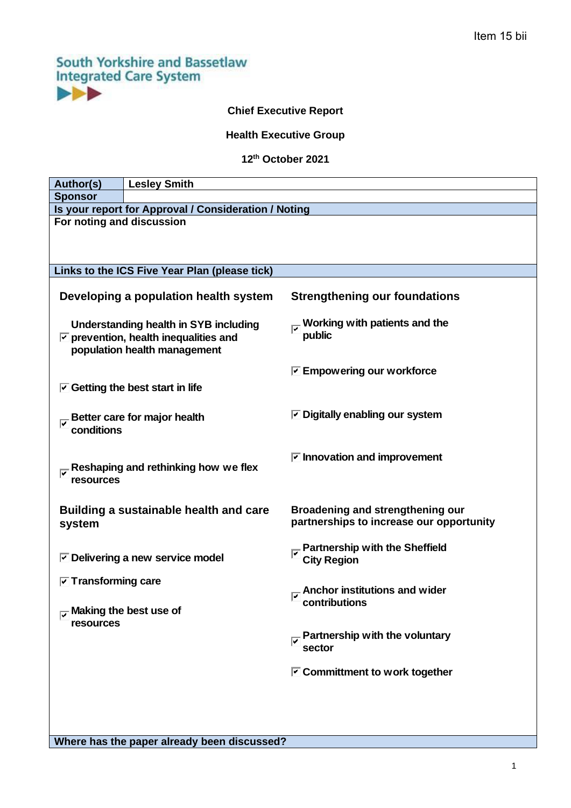# **South Yorkshire and Bassetlaw Integrated Care System** EE

# **Chief Executive Report**

# **Health Executive Group**

#### **12 th October 2021**

| Author(s)                                                                                                                     | <b>Lesley Smith</b>                             |                                                                              |  |
|-------------------------------------------------------------------------------------------------------------------------------|-------------------------------------------------|------------------------------------------------------------------------------|--|
| <b>Sponsor</b>                                                                                                                |                                                 |                                                                              |  |
| Is your report for Approval / Consideration / Noting                                                                          |                                                 |                                                                              |  |
| For noting and discussion                                                                                                     |                                                 |                                                                              |  |
|                                                                                                                               |                                                 |                                                                              |  |
|                                                                                                                               |                                                 |                                                                              |  |
| Links to the ICS Five Year Plan (please tick)                                                                                 |                                                 |                                                                              |  |
| Developing a population health system                                                                                         |                                                 | <b>Strengthening our foundations</b>                                         |  |
| Understanding health in SYB including<br>$\triangleright$ prevention, health inequalities and<br>population health management |                                                 | Working with patients and the<br>public                                      |  |
|                                                                                                                               |                                                 | $\triangledown$ Empowering our workforce                                     |  |
| $\triangleright$ Getting the best start in life                                                                               |                                                 |                                                                              |  |
|                                                                                                                               |                                                 |                                                                              |  |
| Better care for major health<br>conditions                                                                                    |                                                 | $\triangledown$ Digitally enabling our system                                |  |
| Reshaping and rethinking how we flex<br>resources                                                                             |                                                 | $\triangleright$ Innovation and improvement                                  |  |
| Building a sustainable health and care<br>system                                                                              |                                                 | Broadening and strengthening our<br>partnerships to increase our opportunity |  |
|                                                                                                                               | $\triangleright$ Delivering a new service model | <b>Partnership with the Sheffield</b><br><b>City Region</b>                  |  |
| $\boxed{\triangledown}$ Transforming care                                                                                     |                                                 |                                                                              |  |
| $\overline{v}$ Making the best use of                                                                                         |                                                 | Anchor institutions and wider<br>contributions                               |  |
| resources                                                                                                                     |                                                 | Partnership with the voluntary<br>sector                                     |  |
|                                                                                                                               |                                                 | $\triangleright$ Committment to work together                                |  |
|                                                                                                                               |                                                 |                                                                              |  |
|                                                                                                                               |                                                 |                                                                              |  |
|                                                                                                                               |                                                 |                                                                              |  |

**Where has the paper already been discussed?**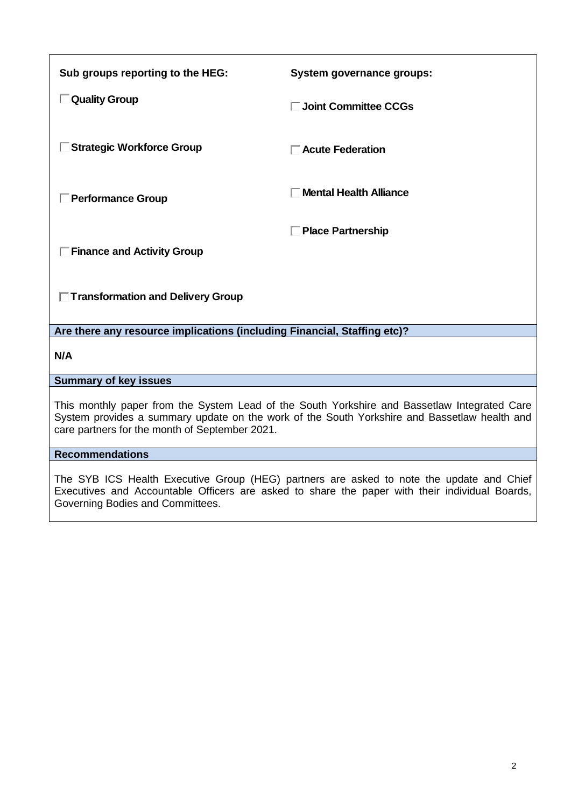| Sub groups reporting to the HEG:                                                                                                                                                                                                               | System governance groups:     |  |
|------------------------------------------------------------------------------------------------------------------------------------------------------------------------------------------------------------------------------------------------|-------------------------------|--|
| □ Quality Group                                                                                                                                                                                                                                | □ Joint Committee CCGs        |  |
| □ Strategic Workforce Group                                                                                                                                                                                                                    | □ Acute Federation            |  |
| <b>Performance Group</b>                                                                                                                                                                                                                       | <b>Mental Health Alliance</b> |  |
|                                                                                                                                                                                                                                                | <b>Place Partnership</b>      |  |
| $\Box$ Finance and Activity Group                                                                                                                                                                                                              |                               |  |
| □ Transformation and Delivery Group                                                                                                                                                                                                            |                               |  |
| Are there any resource implications (including Financial, Staffing etc)?                                                                                                                                                                       |                               |  |
| N/A                                                                                                                                                                                                                                            |                               |  |
| <b>Summary of key issues</b>                                                                                                                                                                                                                   |                               |  |
| This monthly paper from the System Lead of the South Yorkshire and Bassetlaw Integrated Care<br>System provides a summary update on the work of the South Yorkshire and Bassetlaw health and<br>care partners for the month of September 2021. |                               |  |
| <b>Recommendations</b>                                                                                                                                                                                                                         |                               |  |
|                                                                                                                                                                                                                                                |                               |  |

The SYB ICS Health Executive Group (HEG) partners are asked to note the update and Chief Executives and Accountable Officers are asked to share the paper with their individual Boards, Governing Bodies and Committees.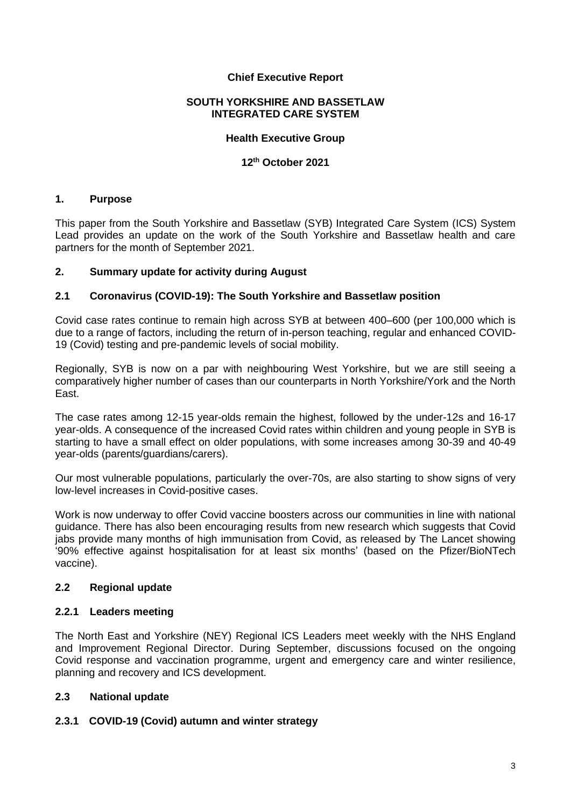#### **Chief Executive Report**

#### **SOUTH YORKSHIRE AND BASSETLAW INTEGRATED CARE SYSTEM**

#### **Health Executive Group**

#### **12 th October 2021**

#### **1. Purpose**

This paper from the South Yorkshire and Bassetlaw (SYB) Integrated Care System (ICS) System Lead provides an update on the work of the South Yorkshire and Bassetlaw health and care partners for the month of September 2021.

#### **2. Summary update for activity during August**

#### **2.1 Coronavirus (COVID-19): The South Yorkshire and Bassetlaw position**

Covid case rates continue to remain high across SYB at between 400–600 (per 100,000 which is due to a range of factors, including the return of in-person teaching, regular and enhanced COVID-19 (Covid) testing and pre-pandemic levels of social mobility.

Regionally, SYB is now on a par with neighbouring West Yorkshire, but we are still seeing a comparatively higher number of cases than our counterparts in North Yorkshire/York and the North East.

The case rates among 12-15 year-olds remain the highest, followed by the under-12s and 16-17 year-olds. A consequence of the increased Covid rates within children and young people in SYB is starting to have a small effect on older populations, with some increases among 30-39 and 40-49 year-olds (parents/guardians/carers).

Our most vulnerable populations, particularly the over-70s, are also starting to show signs of very low-level increases in Covid-positive cases.

Work is now underway to offer Covid vaccine boosters across our communities in line with national guidance. There has also been encouraging results from new research which suggests that Covid jabs provide many months of high immunisation from Covid, as released by The Lancet showing '90% effective against hospitalisation for at least six months' (based on the Pfizer/BioNTech vaccine).

#### **2.2 Regional update**

#### **2.2.1 Leaders meeting**

The North East and Yorkshire (NEY) Regional ICS Leaders meet weekly with the NHS England and Improvement Regional Director. During September, discussions focused on the ongoing Covid response and vaccination programme, urgent and emergency care and winter resilience, planning and recovery and ICS development.

#### **2.3 National update**

#### **2.3.1 [COVID-19 \(Covid\) autumn and winter strategy](https://www.gov.uk/government/publications/covid-19-response-autumn-and-winter-plan-2021/covid-19-response-autumn-and-winter-plan-2021)**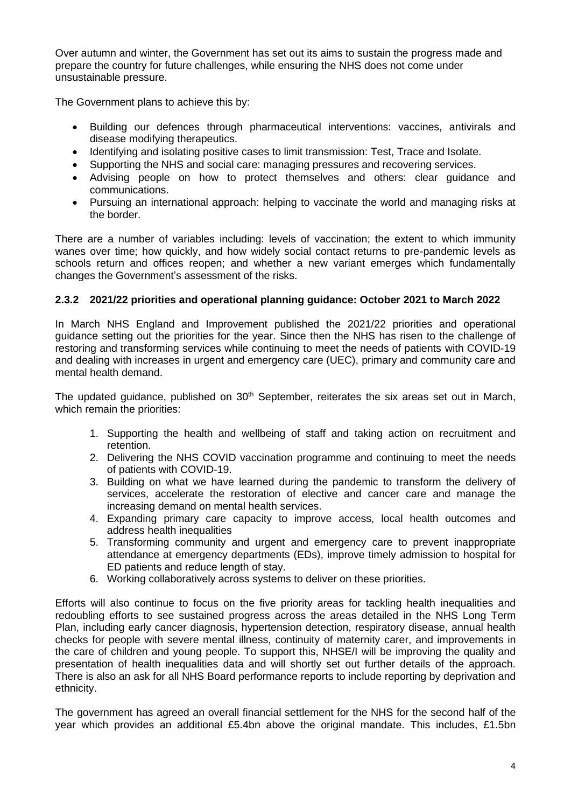Over autumn and winter, the Government has set out its aims to sustain the progress made and prepare the country for future challenges, while ensuring the NHS does not come under unsustainable pressure.

The Government plans to achieve this by:

- Building our defences through pharmaceutical interventions: vaccines, antivirals and disease modifying therapeutics.
- Identifying and isolating positive cases to limit transmission: Test, Trace and Isolate.
- Supporting the NHS and social care: managing pressures and recovering services.
- Advising people on how to protect themselves and others: clear guidance and communications.
- Pursuing an international approach: helping to vaccinate the world and managing risks at the border.

There are a number of variables including: levels of vaccination; the extent to which immunity wanes over time; how quickly, and how widely social contact returns to pre-pandemic levels as schools return and offices reopen; and whether a new variant emerges which fundamentally changes the Government's assessment of the risks.

# **2.3.2 2021/22 priorities and operational planning guidance: October 2021 to March 2022**

In March NHS England and Improvement published the 2021/22 priorities and operational guidance setting out the priorities for the year. Since then the NHS has risen to the challenge of restoring and transforming services while continuing to meet the needs of patients with COVID-19 and dealing with increases in urgent and emergency care (UEC), primary and community care and mental health demand.

The updated guidance, published on 30<sup>th</sup> September, reiterates the six areas set out in March, which remain the priorities:

- 1. Supporting the health and wellbeing of staff and taking action on recruitment and retention.
- 2. Delivering the NHS COVID vaccination programme and continuing to meet the needs of patients with COVID-19.
- 3. Building on what we have learned during the pandemic to transform the delivery of services, accelerate the restoration of elective and cancer care and manage the increasing demand on mental health services.
- 4. Expanding primary care capacity to improve access, local health outcomes and address health inequalities
- 5. Transforming community and urgent and emergency care to prevent inappropriate attendance at emergency departments (EDs), improve timely admission to hospital for ED patients and reduce length of stay.
- 6. Working collaboratively across systems to deliver on these priorities.

Efforts will also continue to focus on the five priority areas for tackling health inequalities and redoubling efforts to see sustained progress across the areas detailed in the NHS Long Term Plan, including early cancer diagnosis, hypertension detection, respiratory disease, annual health checks for people with severe mental illness, continuity of maternity carer, and improvements in the care of children and young people. To support this, NHSE/I will be improving the quality and presentation of health inequalities data and will shortly set out further details of the approach. There is also an ask for all NHS Board performance reports to include reporting by deprivation and ethnicity.

The government has agreed an overall financial settlement for the NHS for the second half of the year which provides an additional £5.4bn above the original mandate. This includes, £1.5bn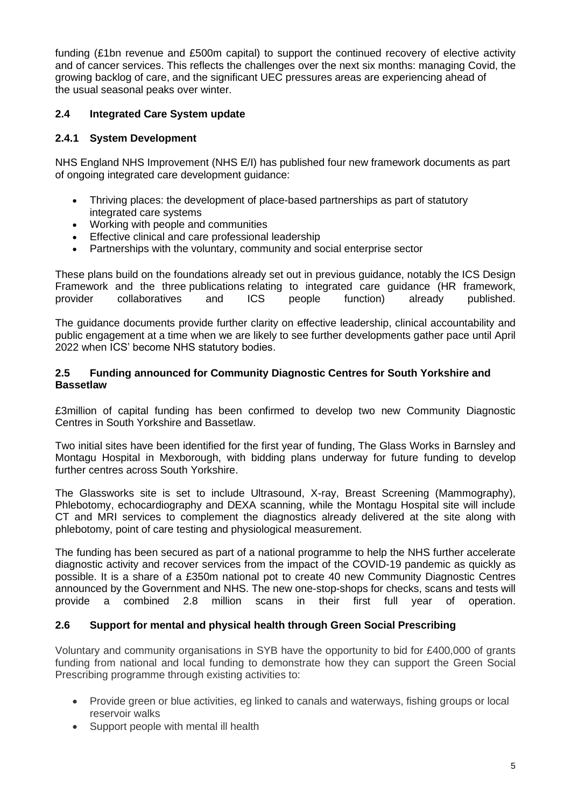funding (£1bn revenue and £500m capital) to support the continued recovery of elective activity and of cancer services. This reflects the challenges over the next six months: managing Covid, the growing backlog of care, and the significant UEC pressures areas are experiencing ahead of the usual seasonal peaks over winter.

# **2.4 Integrated Care System update**

### **2.4.1 System Development**

NHS England NHS Improvement (NHS E/I) has published four new framework documents as part of ongoing integrated care development guidance:

- [Thriving places: the development of place-based partnerships as part of statutory](https://www.england.nhs.uk/wp-content/uploads/2021/06/B0660-ics-implementation-guidance-on-thriving-places.pdf)  [integrated care systems](https://www.england.nhs.uk/wp-content/uploads/2021/06/B0660-ics-implementation-guidance-on-thriving-places.pdf)
- [Working with people and communities](https://www.england.nhs.uk/wp-content/uploads/2021/06/B0661-ics-working-with-people-and-communities.pdf)
- [Effective clinical and care professional leadership](https://www.england.nhs.uk/wp-content/uploads/2021/06/B0664-ics-clinical-and-care-professional-leadership.pdf)
- [Partnerships with the voluntary, community and social enterprise sector](https://www.england.nhs.uk/wp-content/uploads/2021/06/B0905-vcse-and-ics-partnerships.pdf)

These plans build on the foundations already set out in previous guidance, notably the ICS Design Framework and the three [publications](https://www.england.nhs.uk/publication/integrated-care-systems-guidance/) relating to integrated care guidance (HR framework, provider collaboratives and ICS people function) already published.

The guidance documents provide further clarity on effective leadership, clinical accountability and public engagement at a time when we are likely to see further developments gather pace until April 2022 when [ICS' become NHS statutory bodies.](https://www.england.nhs.uk/wp-content/uploads/2021/01/integrating-care-next-steps-to-building-strong-and-effective-integrated-care-systems.pdf)

#### **2.5 Funding announced for Community Diagnostic Centres for South Yorkshire and Bassetlaw**

£3million of capital funding has been confirmed to develop two new Community Diagnostic Centres in South Yorkshire and Bassetlaw.

Two initial sites have been identified for the first year of funding, The Glass Works in Barnsley and Montagu Hospital in Mexborough, with bidding plans underway for future funding to develop further centres across South Yorkshire.

The Glassworks site is set to include Ultrasound, X-ray, Breast Screening (Mammography), Phlebotomy, echocardiography and DEXA scanning, while the Montagu Hospital site will include CT and MRI services to complement the diagnostics already delivered at the site along with phlebotomy, point of care testing and physiological measurement.

The funding has been secured as part of a national programme to help the NHS further accelerate diagnostic activity and recover services from the impact of the COVID-19 pandemic as quickly as possible. It is a share of a £350m national pot to create 40 new Community Diagnostic Centres announced by the Government and NHS. The new one-stop-shops for checks, scans and tests will provide a combined 2.8 million scans in their first full year of operation.

#### **2.6 Support for mental and physical health through Green Social Prescribing**

Voluntary and community organisations in SYB have the opportunity to bid for £400,000 of grants funding from national and local funding to demonstrate how they can support the Green Social Prescribing programme through existing activities to:

- Provide green or blue activities, eg linked to canals and waterways, fishing groups or local reservoir walks
- Support people with mental ill health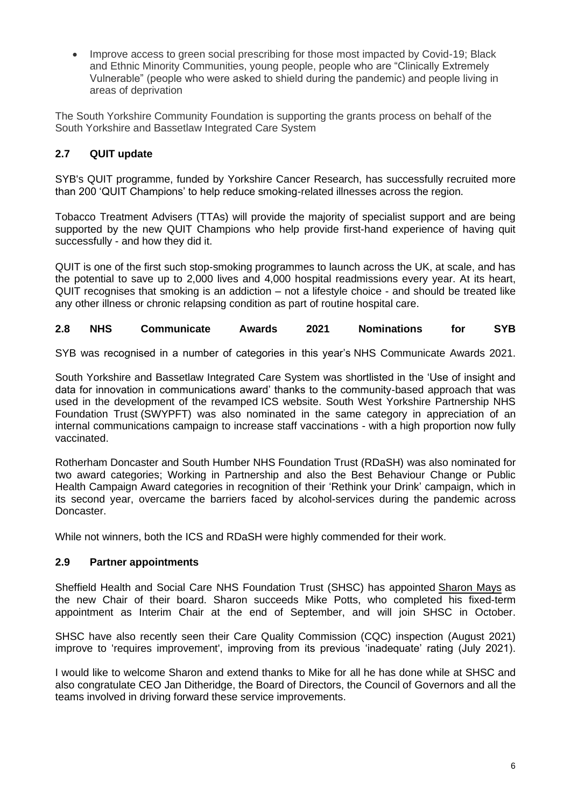• Improve access to green social prescribing for those most impacted by Covid-19: Black and Ethnic Minority Communities, young people, people who are "Clinically Extremely Vulnerable" (people who were asked to shield during the pandemic) and people living in areas of deprivation

The South Yorkshire Community Foundation is supporting the grants process on behalf of the South Yorkshire and Bassetlaw Integrated Care System

# **2.7 QUIT update**

SYB's QUIT programme, funded by Yorkshire Cancer Research, has successfully recruited more than 200 'QUIT Champions' to help reduce smoking-related illnesses across the region.

Tobacco Treatment Advisers (TTAs) will provide the majority of specialist support and are being supported by the new QUIT Champions who help provide first-hand experience of having quit successfully - and how they did it.

QUIT is one of the first such stop-smoking programmes to launch across the UK, at scale, and has the potential to save up to 2,000 lives and 4,000 hospital readmissions every year. At its heart, QUIT recognises that smoking is an addiction – not a lifestyle choice - and should be treated like any other illness or chronic relapsing condition as part of routine hospital care.

**2.8 NHS Communicate Awards 2021 Nominations for SYB**

SYB was recognised in a number of categories in this year's [NHS Communicate Awards 2021.](https://nhsproviders.org/nhscommunicateawards)

South Yorkshire and Bassetlaw Integrated Care System was shortlisted in the 'Use of insight and data for innovation in communications award' thanks to the community-based approach that was used in the development of the revamped [ICS website.](https://sybics.co.uk/workforce-wellbeing) [South West Yorkshire Partnership NHS](https://www.southwestyorkshire.nhs.uk/)  [Foundation Trust](https://www.southwestyorkshire.nhs.uk/) (SWYPFT) was also nominated in the same category in appreciation of an internal communications campaign to increase staff vaccinations - with a high proportion now fully vaccinated.

Rotherham Doncaster and South Humber NHS Foundation Trust (RDaSH) was also nominated for two award categories; Working in Partnership and also the Best Behaviour Change or Public Health Campaign Award categories in recognition of their ['Rethink your Drink'](https://www.rdash.nhs.uk/services/our-services/drug-and-alcohol-services-for-adults/rethink-your-drink-doncaster/) campaign, which in its second year, overcame the barriers faced by alcohol-services during the pandemic across Doncaster.

While not winners, both the ICS and RDaSH were highly commended for their work.

#### **2.9 Partner appointments**

Sheffield Health and Social Care NHS Foundation Trust (SHSC) has appointed [Sharon Mays](https://www.shsc.nhs.uk/news/sharon-mays-appointed-our-new-chair) as the new Chair of their board. Sharon succeeds Mike Potts, who completed his fixed-term appointment as Interim Chair at the end of September, and will join SHSC in October.

SHSC have also recently seen their Care Quality Commission (CQC) inspection (August 2021) improve to ['requires improvement'](https://www.shsc.nhs.uk/about-us/care-quality-commission-inspection), improving from its previous 'inadequate' rating (July 2021).

I would like to welcome Sharon and extend thanks to Mike for all he has done while at SHSC and also congratulate CEO Jan Ditheridge, the Board of Directors, the Council of Governors and all the teams involved in driving forward these service improvements.